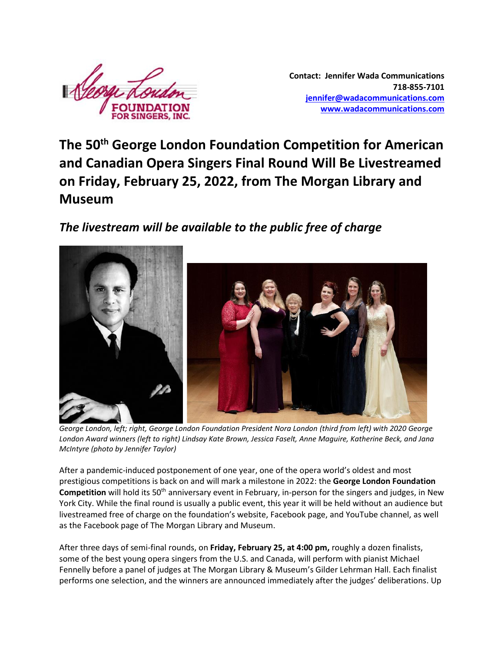

**Contact: Jennifer Wada Communications 718-855-7101 [jennifer@wadacommunications.com](mailto:jennifer@wadacommunications.com) [www.wadacommunications.com](http://www.wadacommunications.com/)**

**The 50th George London Foundation Competition for American and Canadian Opera Singers Final Round Will Be Livestreamed on Friday, February 25, 2022, from The Morgan Library and Museum**

*The livestream will be available to the public free of charge*



*George London, left; right, George London Foundation President Nora London (third from left) with 2020 George London Award winners (left to right) Lindsay Kate Brown, Jessica Faselt, Anne Maguire, Katherine Beck, and Jana McIntyre (photo by Jennifer Taylor)*

After a pandemic-induced postponement of one year, one of the opera world's oldest and most prestigious competitions is back on and will mark a milestone in 2022: the **George London Foundation Competition** will hold its 50<sup>th</sup> anniversary event in February, in-person for the singers and judges, in New York City. While the final round is usually a public event, this year it will be held without an audience but livestreamed free of charge on the foundation's website, Facebook page, and YouTube channel, as well as the Facebook page of The Morgan Library and Museum.

After three days of semi-final rounds, on **Friday, February 25, at 4:00 pm,** roughly a dozen finalists, some of the best young opera singers from the U.S. and Canada, will perform with pianist Michael Fennelly before a panel of judges at The Morgan Library & Museum's Gilder Lehrman Hall. Each finalist performs one selection, and the winners are announced immediately after the judges' deliberations. Up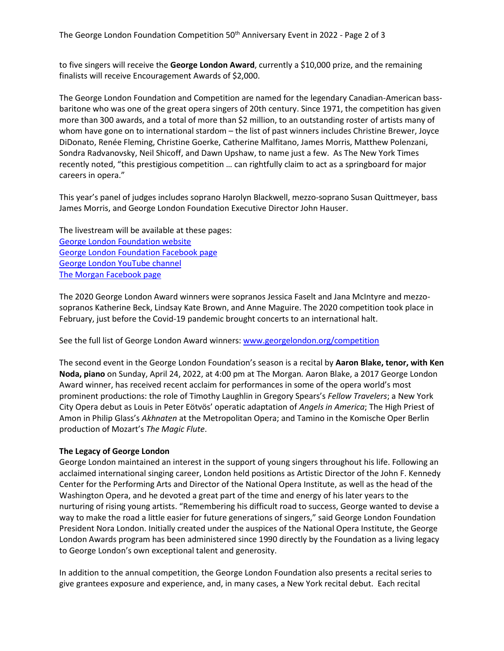The George London Foundation Competition  $50<sup>th</sup>$  Anniversary Event in 2022 - Page 2 of 3

to five singers will receive the **George London Award**, currently a \$10,000 prize, and the remaining finalists will receive Encouragement Awards of \$2,000.

The George London Foundation and Competition are named for the legendary Canadian-American bassbaritone who was one of the great opera singers of 20th century. Since 1971, the competition has given more than 300 awards, and a total of more than \$2 million, to an outstanding roster of artists many of whom have gone on to international stardom – the list of past winners includes Christine Brewer, Joyce DiDonato, Renée Fleming, Christine Goerke, Catherine Malfitano, James Morris, Matthew Polenzani, Sondra Radvanovsky, Neil Shicoff, and Dawn Upshaw, to name just a few. As The New York Times recently noted, "this prestigious competition … can rightfully claim to act as a springboard for major careers in opera."

This year's panel of judges includes soprano Harolyn Blackwell, mezzo-soprano Susan Quittmeyer, bass James Morris, and George London Foundation Executive Director John Hauser.

The livestream will be available at these pages: [George London Foundation website](https://www.georgelondon.org/) [George London Foundation Facebook page](https://www.facebook.com/profile.php?id=100075484692623) [George London YouTube](https://www.youtube.com/channel/UC42f7RPxWBMyteub5oVY0OQ) channel [The Morgan Facebook page](https://www.facebook.com/morganlibrary)

The 2020 George London Award winners were sopranos Jessica Faselt and Jana McIntyre and mezzosopranos Katherine Beck, Lindsay Kate Brown, and Anne Maguire. The 2020 competition took place in February, just before the Covid-19 pandemic brought concerts to an international halt.

See the full list of George London Award winners[: www.georgelondon.org/competition](http://www.georgelondon.org/competition)

The second event in the George London Foundation's season is a recital by **Aaron Blake, tenor, with Ken Noda, piano** on Sunday, April 24, 2022, at 4:00 pm at The Morgan*.* Aaron Blake, a 2017 George London Award winner, has received recent acclaim for performances in some of the opera world's most prominent productions: the role of Timothy Laughlin in Gregory Spears's *Fellow Travelers*; a New York City Opera debut as Louis in Peter Eötvös' operatic adaptation of *Angels in America*; The High Priest of Amon in Philip Glass's *Akhnaten* at the Metropolitan Opera; and Tamino in the Komische Oper Berlin production of Mozart's *The Magic Flute*.

## **The Legacy of George London**

George London maintained an interest in the support of young singers throughout his life. Following an acclaimed international singing career, London held positions as Artistic Director of the John F. Kennedy Center for the Performing Arts and Director of the National Opera Institute, as well as the head of the Washington Opera, and he devoted a great part of the time and energy of his later years to the nurturing of rising young artists. "Remembering his difficult road to success, George wanted to devise a way to make the road a little easier for future generations of singers," said George London Foundation President Nora London. Initially created under the auspices of the National Opera Institute, the George London Awards program has been administered since 1990 directly by the Foundation as a living legacy to George London's own exceptional talent and generosity.

In addition to the annual competition, the George London Foundation also presents a recital series to give grantees exposure and experience, and, in many cases, a New York recital debut. Each recital